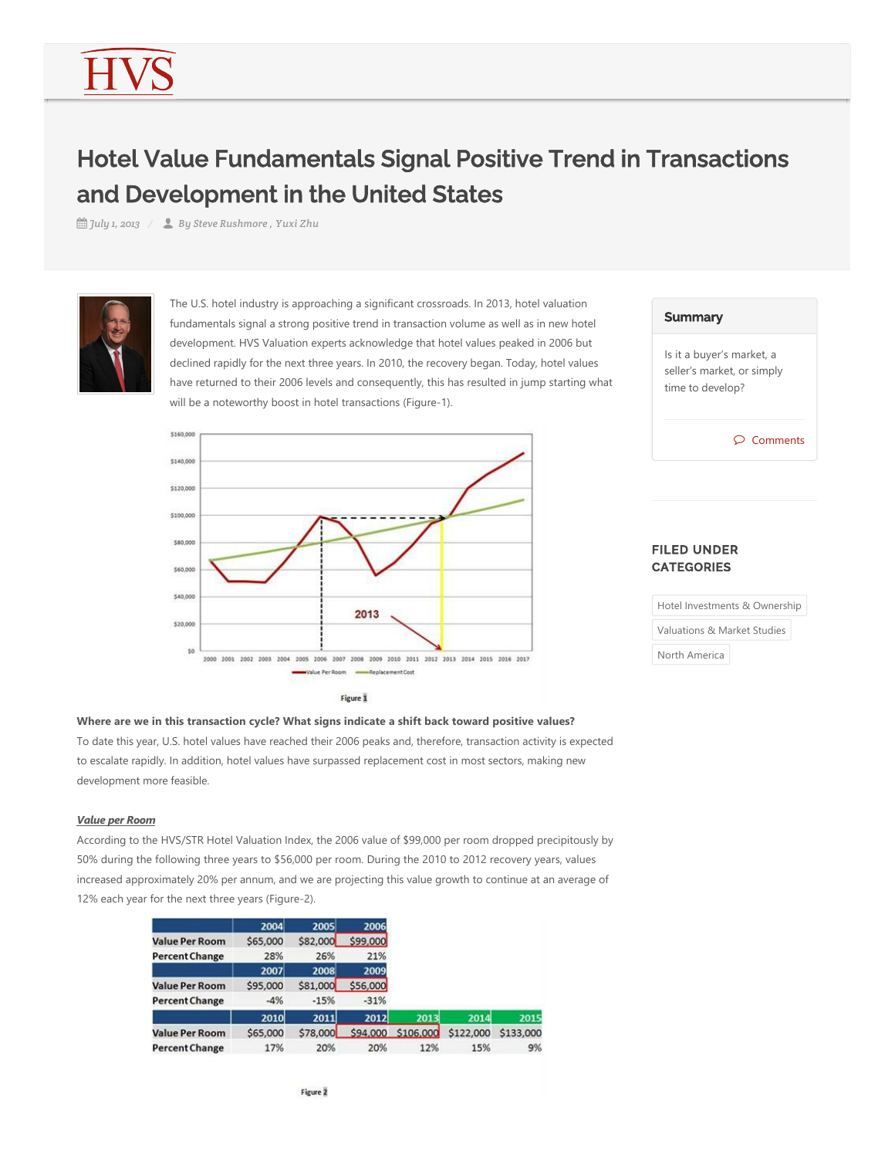# Hotel Value Fundamentals Signal Positive Trend in Transactions and Development in the United States

*July 1, 2013 By Steve Rushmore , Yuxi Zhu*



The U.S. hotel industry is approaching a significant crossroads. In 2013, hotel valuation fundamentals signal a strong positive trend in transaction volume as well as in new hotel development. HVS Valuation experts acknowledge that hotel values peaked in 2006 but declined rapidly for the next three years. In 2010, the recovery began. Today, hotel values have returned to their 2006 levels and consequently, this has resulted in jump starting what will be a noteworthy boost in hotel transactions (Figure-1).



| Summary |
|---------|
|---------|

Is it a buyer's market, a seller's market, or simply time to develop?

Comments

## FILED UNDER **CATEGORIES**

Hotel Investments & Ownership Valuations & Market Studies North America

## **Where are we in this transaction cycle? What signs indicate a shift back toward positive values?**

To date this year, U.S. hotel values have reached their 2006 peaks and, therefore, transaction activity is expected to escalate rapidly. In addition, hotel values have surpassed replacement cost in most sectors, making new development more feasible.

## *Value per Room*

According to the HVS/STR Hotel Valuation Index, the 2006 value of \$99,000 per room dropped precipitously by 50% during the following three years to \$56,000 per room. During the 2010 to 2012 recovery years, values increased approximately 20% per annum, and we are projecting this value growth to continue at an average of 12% each year for the next three years (Figure-2).

|                       | 2004        | 2005     | 2006     |           |           |           |
|-----------------------|-------------|----------|----------|-----------|-----------|-----------|
| <b>Value Per Room</b> | \$65,000    | \$82,000 | \$99,000 |           |           |           |
| <b>Percent Change</b> | 28%         | 26%      | 21%      |           |           |           |
|                       | 2007        | 2008     | 2009     |           |           |           |
| <b>Value Per Room</b> | \$95,000    | \$81,000 | \$56,000 |           |           |           |
| <b>Percent Change</b> | $-4%$       | $-15%$   | $-31%$   |           |           |           |
|                       | <b>2010</b> | 2011     | 2012     | 2013      | 2014      | 2015      |
| <b>Value Per Room</b> | \$65,000    | \$78,000 | \$94,000 | \$106,000 | \$122,000 | \$133,000 |
| <b>Percent Change</b> | 17%         | 20%      | 20%      | 12%       | 15%       | 9%        |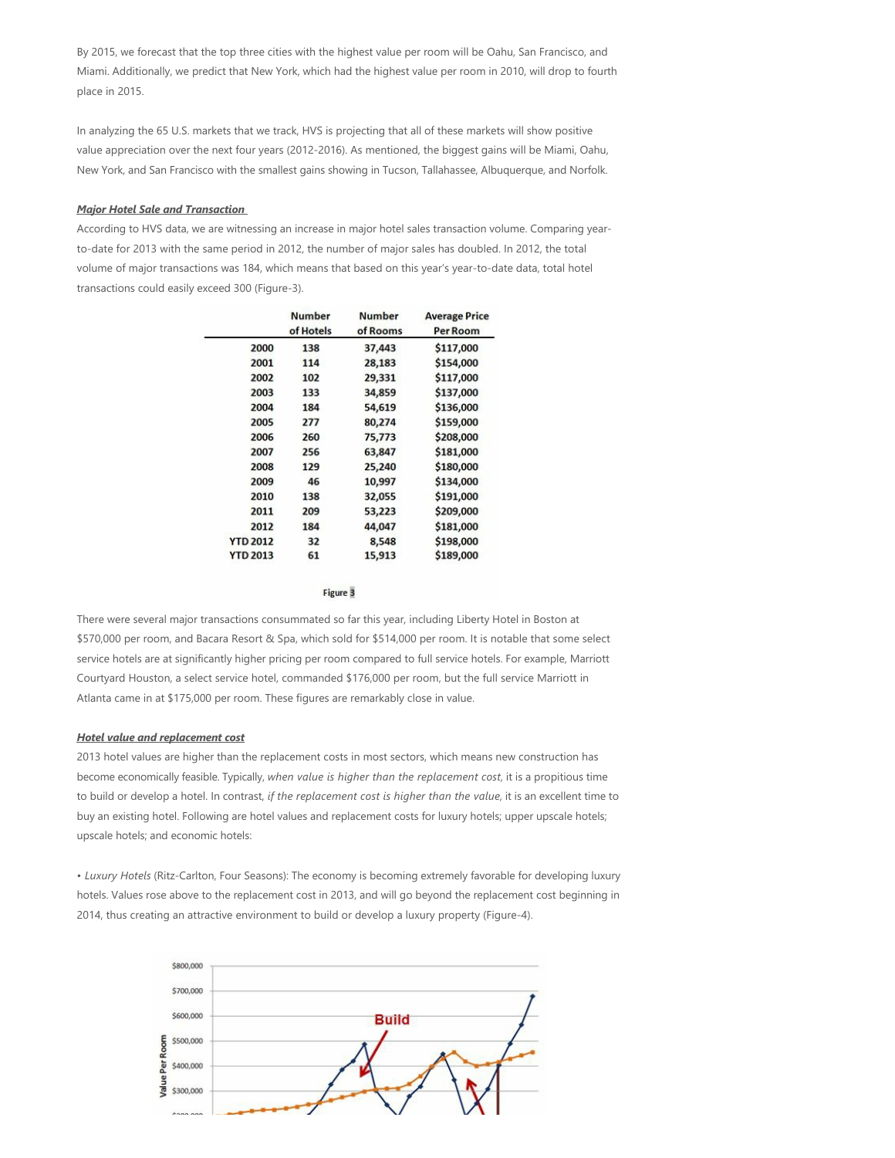By 2015, we forecast that the top three cities with the highest value per room will be Oahu, San Francisco, and Miami. Additionally, we predict that New York, which had the highest value per room in 2010, will drop to fourth place in 2015.

In analyzing the 65 U.S. markets that we track, HVS is projecting that all of these markets will show positive value appreciation over the next four years (2012-2016). As mentioned, the biggest gains will be Miami, Oahu, New York, and San Francisco with the smallest gains showing in Tucson, Tallahassee, Albuquerque, and Norfolk.

### *Major Hotel Sale and Transaction*

According to HVS data, we are witnessing an increase in major hotel sales transaction volume. Comparing year‐ to-date for 2013 with the same period in 2012, the number of major sales has doubled. In 2012, the total volume of major transactions was 184, which means that based on this year's year-to-date data, total hotel transactions could easily exceed 300 (Figure-3).

|                 | <b>Number</b><br>of Hotels | <b>Number</b><br>of Rooms | <b>Average Price</b><br>Per Room |
|-----------------|----------------------------|---------------------------|----------------------------------|
| 2000            | 138                        | 37,443                    | \$117,000                        |
| 2001            | 114                        | 28,183                    | \$154,000                        |
| 2002            | 102                        | 29,331                    | \$117,000                        |
| 2003            | 133                        | 34,859                    | \$137,000                        |
| 2004            | 184                        | 54,619                    | \$136,000                        |
| 2005            | 277                        | 80,274                    | \$159,000                        |
| 2006            | 260                        | 75,773                    | \$208,000                        |
| 2007            | 256                        | 63,847                    | \$181,000                        |
| 2008            | 129                        | 25,240                    | \$180,000                        |
| 2009            | 46                         | 10,997                    | \$134,000                        |
| 2010            | 138                        | 32,055                    | \$191,000                        |
| 2011            | 209                        | 53,223                    | \$209,000                        |
| 2012            | 184                        | 44,047                    | \$181,000                        |
| <b>YTD 2012</b> | 32                         | 8,548                     | \$198,000                        |
| <b>YTD 2013</b> | 61                         | 15,913                    | \$189,000                        |

Figure 3

There were several major transactions consummated so far this year, including Liberty Hotel in Boston at \$570,000 per room, and Bacara Resort & Spa, which sold for \$514,000 per room. It is notable that some select service hotels are at significantly higher pricing per room compared to full service hotels. For example, Marriott Courtyard Houston, a select service hotel, commanded \$176,000 per room, but the full service Marriott in Atlanta came in at \$175,000 per room. These figures are remarkably close in value.

### *Hotel value and replacement cost*

2013 hotel values are higher than the replacement costs in most sectors, which means new construction has become economically feasible. Typically, *when value is higher than the replacement cost*, it is a propitious time to build or develop a hotel. In contrast, *if the replacement cost is higher than the value*, it is an excellent time to buy an existing hotel. Following are hotel values and replacement costs for luxury hotels; upper upscale hotels; upscale hotels; and economic hotels:

• Luxury Hotels (Ritz-Carlton, Four Seasons): The economy is becoming extremely favorable for developing luxury hotels. Values rose above to the replacement cost in 2013, and will go beyond the replacement cost beginning in 2014, thus creating an attractive environment to build or develop a luxury property (Figure-4).

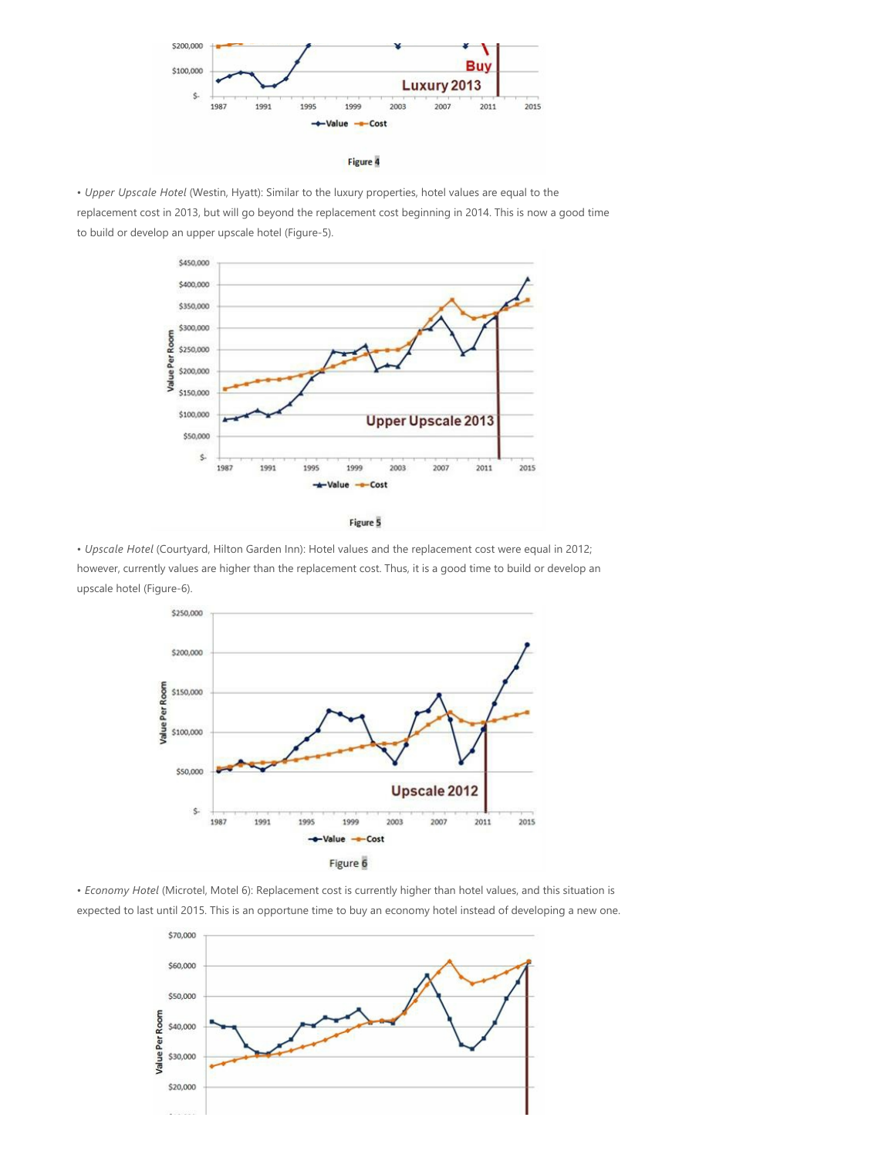

Figure 4

• *Upper Upscale Hotel* (Westin, Hyatt): Similar to the luxury properties, hotel values are equal to the replacement cost in 2013, but will go beyond the replacement cost beginning in 2014. This is now a good time to build or develop an upper upscale hotel (Figure-5).



Figure 5

• *Upscale Hotel* (Courtyard, Hilton Garden Inn): Hotel values and the replacement cost were equal in 2012; however, currently values are higher than the replacement cost. Thus, it is a good time to build or develop an upscale hotel (Figure-6).



• *Economy Hotel (Microtel, Motel 6): Replacement cost is currently higher than hotel values, and this situation is* expected to last until 2015. This is an opportune time to buy an economy hotel instead of developing a new one.

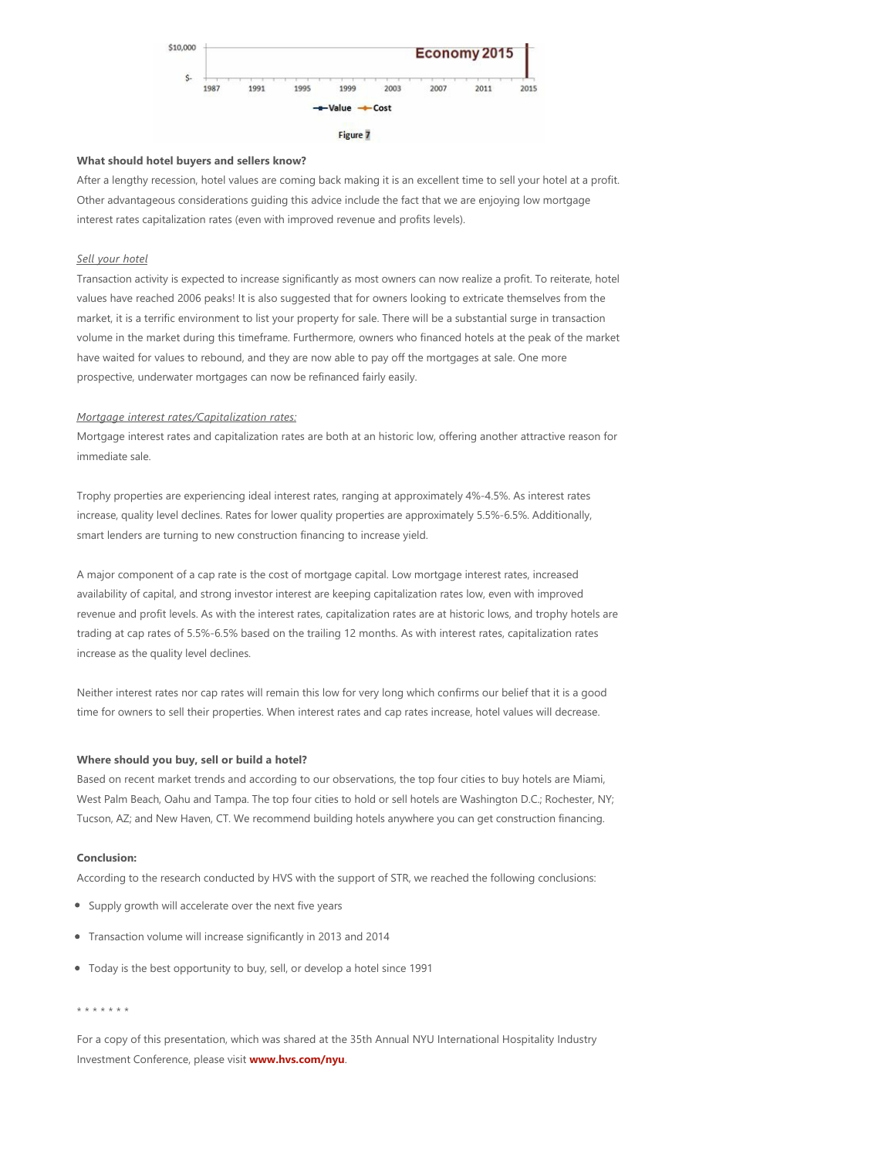

#### **What should hotel buyers and sellers know?**

After a lengthy recession, hotel values are coming back making it is an excellent time to sell your hotel at a profit. Other advantageous considerations guiding this advice include the fact that we are enjoying low mortgage interest rates capitalization rates (even with improved revenue and profits levels).

## *Sell your hotel*

Transaction activity is expected to increase significantly as most owners can now realize a profit. To reiterate, hotel values have reached 2006 peaks! It is also suggested that for owners looking to extricate themselves from the market, it is a terrific environment to list your property for sale. There will be a substantial surge in transaction volume in the market during this timeframe. Furthermore, owners who financed hotels at the peak of the market have waited for values to rebound, and they are now able to pay off the mortgages at sale. One more prospective, underwater mortgages can now be refinanced fairly easily.

#### *Mortgage interest rates/Capitalization rates:*

Mortgage interest rates and capitalization rates are both at an historic low, offering another attractive reason for immediate sale.

Trophy properties are experiencing ideal interest rates, ranging at approximately 4%‐4.5%. As interest rates increase, quality level declines. Rates for lower quality properties are approximately 5.5%‐6.5%. Additionally, smart lenders are turning to new construction financing to increase yield.

A major component of a cap rate is the cost of mortgage capital. Low mortgage interest rates, increased availability of capital, and strong investor interest are keeping capitalization rates low, even with improved revenue and profit levels. As with the interest rates, capitalization rates are at historic lows, and trophy hotels are trading at cap rates of 5.5%‐6.5% based on the trailing 12 months. As with interest rates, capitalization rates increase as the quality level declines.

Neither interest rates nor cap rates will remain this low for very long which confirms our belief that it is a good time for owners to sell their properties. When interest rates and cap rates increase, hotel values will decrease.

## **Where should you buy, sell or build a hotel?**

Based on recent market trends and according to our observations, the top four cities to buy hotels are Miami, West Palm Beach, Oahu and Tampa. The top four cities to hold or sell hotels are Washington D.C.; Rochester, NY; Tucson, AZ; and New Haven, CT. We recommend building hotels anywhere you can get construction financing.

## **Conclusion:**

According to the research conducted by HVS with the support of STR, we reached the following conclusions:

- Supply growth will accelerate over the next five years
- Transaction volume will increase significantly in 2013 and 2014
- Today is the best opportunity to buy, sell, or develop a hotel since 1991

#### \* \* \* \* \* \* \*

For a copy of this presentation, which was shared at the 35th Annual NYU International Hospitality Industry Investment Conference, please visit **www.hvs.com/nyu**.